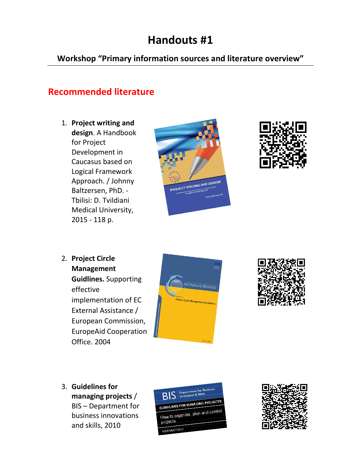## **Handouts #1**

**Workshop "Primary information sources and literature overview"**

#### **Recommended literature**

1. **Project writing and design**. A Handbook for Project Development in Caucasus based on Logical Framework Approach. / Johnny Baltzersen, PhD. - Tbilisi: D. Tvildiani Medical University, 2015 - 118 p.





2. **Project Circle Management Guidlines.** Supporting effective implementation of EC External Assistance / European Commission, EuropeAid Cooperation Office. 2004





3. **Guidelines for managing projects** / BIS – Department for business innovations

and skills, 2010



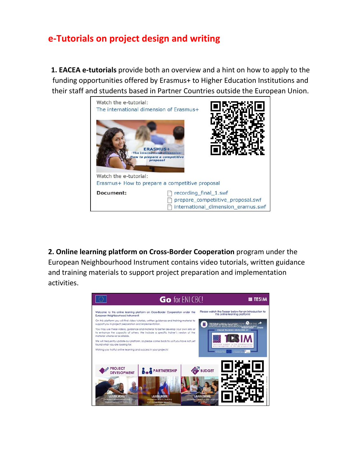#### **e-Tutorials on project design and writing**

**1. EACEA e-tutorials** provide both an overview and a hint on how to apply to the funding opportunities offered by Erasmus+ to Higher Education Institutions and their staff and students based in Partner Countries outside the European Union.



**2. Online learning platform on Cross-Border Cooperation** program under the European Neighbourhood Instrument contains video tutorials, written guidance and training materials to support project preparation and implementation activities.